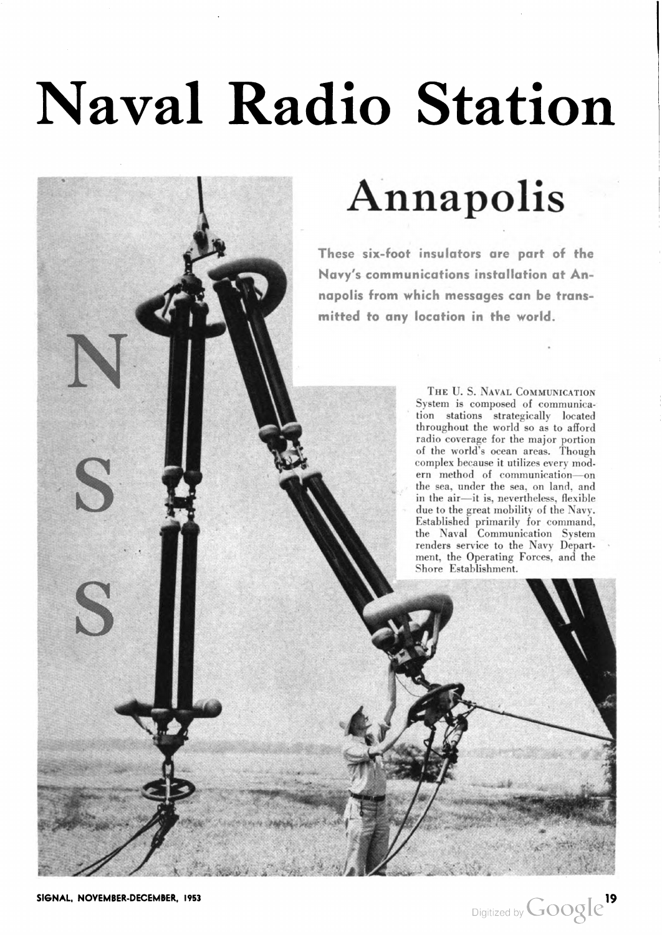# Naval Radio Station

4

# Annapolis

These six-foot insulators are part of the Navy's communications installation at An napolis from which messages can be trans mitted to any location in the world.

> THE U.S. NAVAL COMMUNICATION System is composed of communica tion stations strategically located throughout the world so as to afford radio coverage for the major portion of the world's ocean areas. Though complex because it utilizes every mod ern method of communication—on the sea, under the sea, on land, and in the air—it is, nevertheless, flexible in the air—it is, nevertheless, flexible<br>due to the great mobility of the Navy. Established primarily for command, the Naval Communication System renders service to the Navy Depart ment, the Operating Forces, and the Shore Establishment.

S

S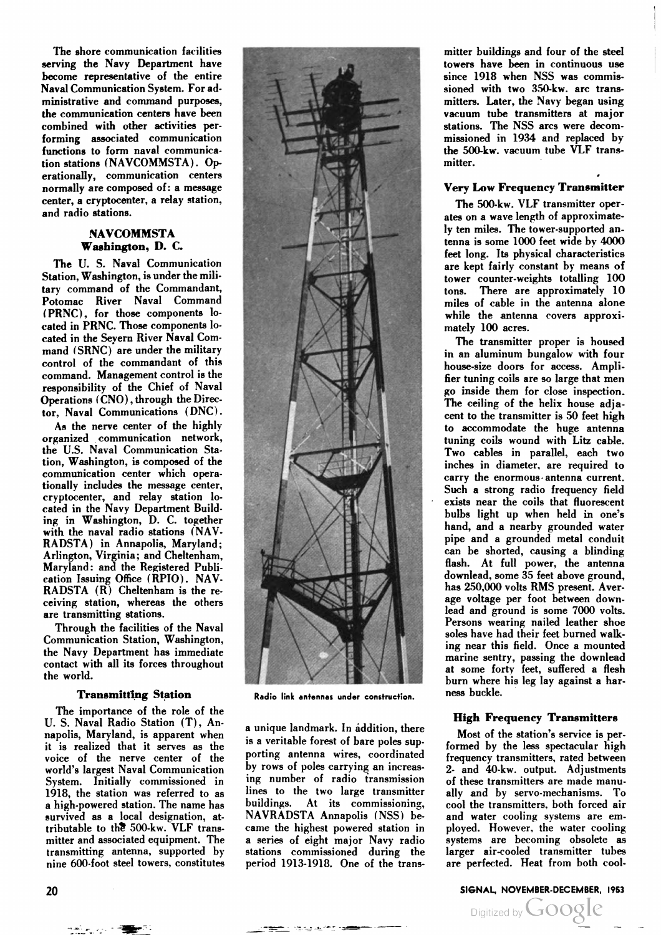The shore communication facilities serving the Navy Department have become representative of the entire Naval Communication System. For ad ministrative and command purposes, the communication centers have been combined with other activities per forming associated communication functions to form naval communica tion stations (NAVCOMMSTA). Operationally, communication centers normally are composed of: a message center, a cryptocenter, a relay station, and radio stations.

# **NAVCOMMSTA** Washington, D. C

The U. S. Naval Communication Station, Washington, is under the mili tary command of the Commandant, Potomac River Naval Command (PRNC), for those components lo cated in PRNC. Those components lo cated in the Severn River Naval Com mand (SRNC) are under the military control of the commandant of this command. Management control is the responsibility of the Chief of Naval Operations (CNO) , through the Direc tor, Naval Communications (DNC).

As the nerve center of the highly organized communication network, the U.S. Naval Communication Sta tion, Washington, is composed of the communication center which opera tionally includes the message center, cryptocenter, and relay station lo cated in the Navy Department Build ing in Washington, D. C. together with the naval radio stations (NAV-RADSTA) in Annapolis, Maryland; Arlington, Virginia; and Cheltenham. Maryland: and the Registered Publi cation Issuing Office (RPIO). NAV-RADSTA (R) Cheltenham is the re ceiving station, whereas the others are transmitting stations.

Through the facilities of the Naval Communication Station, Washington, the Navy Department has immediate contact with all its forces throughout the world.

# Transmitting Station

The importance of the role of the U. S. Naval Radio Station (T), An napolis, Maryland, is apparent when it is realized that it serves as the voice of the nerve center of the world's largest Naval Communication System. Initially commissioned in 1918, the station was referred to as a high-powered station. The name has survived as a local designation, attributable to the 500-kw. VLF transmitter and associated equipment. The transmitting antenna, supported by nine 600-foot steel towers, constitutes



Radio link antennas under construction.

a unique landmark. In addition, there is a veritable forest of bare poles sup porting antenna wires, coordinated by rows of poles carrying an increas ing number of radio transmission lines to the two large transmitter buildings. At its commissioning, NAVRADSTA Annapolis (NSS) be came the highest powered station in a series of eight major Navy radio stations commissioned during the period 1913-1918. One of the trans

mitter buildings and four of the steel towers have been in continuous use since 1918 when NSS was commis sioned with two 350-kw. arc trans mitters. Later, the Navy began using vacuum tube transmitters at major stations. The NSS arcs were decom missioned in 1934 and replaced by the 500-kw. vacuum tube VLF trans mitter.

# Very Low Frequency Transmitter

The 500-kw. VLF transmitter oper ates on a wave length of approximate ly ten miles. The tower-supported an tenna is some 1000 feet wide by 4000 feet long. Its physical characteristics are kept fairly constant by means of tower counter-weights totalling 100 tons. There are approximately 10 miles of cable in the antenna alone while the antenna covers approximately 100 acres.

The transmitter proper is housed in an aluminum bungalow with four house-size doors for access. Ampli fier tuning coils are so large that men go inside them for close inspection. The ceiling of the helix house adjacent to the transmitter is 50 feet high to accommodate the huge antenna tuning coils wound with Litz cable. Two cables in parallel, each two inches in diameter, are required to carry the enormous antenna current. Such a strong radio frequency field exists near the coils that fluorescent bulbs light up when held in one's hand, and a nearby grounded water pipe and a grounded metal conduit can be shorted, causing a blinding flash. At full power, the antenna downlead, some 35 feet above ground, has 250,000 volts RMS present. Aver age voltage per foot between down lead and ground is some 7000 volts. Persons wearing nailed leather shoe soles have had their feet burned walk ing near this field. Once a mounted marine sentry, passing the downlead at some forty feet, suffered a flesh burn where his leg lay against a har ness buckle.

# High Frequency Transmitters

Most of the station's service is per formed by the less spectacular high frequency transmitters, rated between 2- and 40-kw. output. Adjustments of these transmitters are made manu ally and by servo-mechanisms. To cool the transmitters, both forced air and water cooling systems are em ployed. However, the water cooling systems are becoming obsolete as larger air-cooled transmitter tubes are perfected. Heat from both cool

# 20 SIGNAL, NOVEMBER-DECEMBER, <sup>1953</sup>

Digitized by **Google**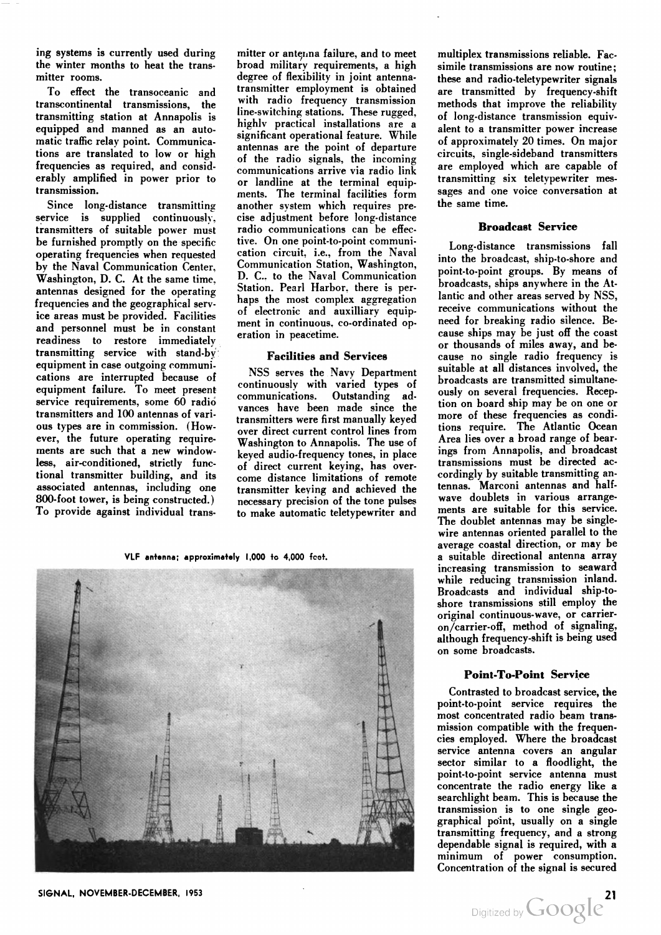ing systems is currently used during the winter months to heat the trans mitter rooms.

To effect the transoceanic and transcontinental transmissions, the transmitting station at Annapolis is equipped and manned as an auto matic traffic relay point. Communica tions are translated to low or high frequencies as required, and consid erably amplified in power prior to transmission.

Since long-distance transmitting service is supplied continuously, transmitters of suitable power must be furnished promptly on the specific operating frequencies when requested by the Naval Communication Center. Washington, D. C. At the same time, antennas designed for the operating frequencies and the geographical serv ice areas must be provided. Facilities and personnel must be in constant readiness to restore immediatelv transmitting service with stand-byequipment in case outgoing communi cations are interrupted because of equipment failure. To meet present service requirements, some 60 radio transmitters and 100 antennas of vari ous types are in commission. (How ever, the future operating require ments are such that a new windowless, air-conditioned, strictly func tional transmitter building, and its associated antennas, including one 800-foot tower, is being constructed.) To provide against individual trans

mitter or antenna failure, and to meet broad military requirements, a high degree of flexibility in joint antennatransmitter employment is obtained with radio frequency transmission line-switching stations. These rugged, highlv practical installations are a significant operational feature. While antennas are the point of departure of the radio signals, the incoming communications arrive via radio link or landline at the terminal equip ments. The terminal facilities form another system which requires pre cise adjustment before long-distance radio communications can be effec tive. On one point-to-point communi cation circuit, i.e., from the Naval Communication Station, Washington, D. C. to the Naval Communication Station. Pearl Harbor, there is per haps the most complex aggregation of electronic and auxilliary equip ment in continuous, co-ordinated op eration in peacetime.

### Facilities and Services

NSS serves the Navy Department continuously with varied types of communications. Outstanding ad vances have been made since the transmitters were first manually keyed over direct current control lines from Washington to Annapolis. The use of keyed audio-frequency tones, in place of direct current keying, has over come distance limitations of remote transmitter keying and achieved the necessary precision of the tone pulses to make automatic teletypewriter and

VLF antenna; approximately 1,000 to 4,000 fcot.



multiplex transmissions reliable. Fac simile transmissions are now routine; these and radio-teletypewriter signals are transmitted by frequency-shift methods that improve the reliability of long-distance transmission equiv alent to a transmitter power increase of approximately 20 times. On major circuits, single-sideband transmitters are employed which are capable of transmitting six teletypewriter mes sages and one voice conversation at the same time.

# Broadcast Service

Long-distance transmissions fall into the broadcast, ship-to-shore and point-to-point groups. By means of broadcasts, ships anywhere in the At lantic and other areas served by NSS, receive communications without the need for breaking radio silence. Be cause ships may be just off the coast or thousands of miles away, and be cause no single radio frequency is suitable at all distances involved, the broadcasts are transmitted simultane ously on several frequencies. Recep tion on board ship may be on one or more of these frequencies as condi tions require. The Atlantic Ocean Area lies over a broad range of bear ings from Annapolis, and broadcast transmissions must be directed ac cordingly by suitable transmitting an tennas. Marconi antennas and halfwave doublets in various arrange ments are suitable for this service. The doublet antennas may be singlewire antennas oriented parallel to the average coastal direction, or may be a suitable directional antenna array increasing transmission to seaward while reducing transmission inland. Broadcasts and individual ship-to shore transmissions still employ the original continuous-wave, or carrieron/carrier-off, method of signaling, although frequency-shift is being used on some broadcasts.

#### Point-To-Point Service

Contrasted to broadcast service, the point-to-point service requires the most concentrated radio beam trans mission compatible with the frequen cies employed. Where the broadcast service antenna covers an angular sector similar to a floodlight, the point-to-point service antenna must concentrate the radio energy like a searchlight beam. This is because the transmission is to one single geo graphical point, usually on a single transmitting frequency, and a strong dependable signal is required, with a minimum of power consumption. Concentration of the signal is secured

SIGNAL, NOVEMBER-DECEMBER, 1953<br>Digitized by  $Google$